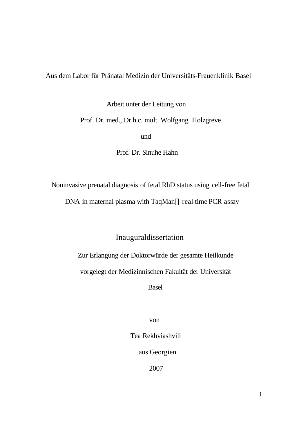Aus dem Labor für Pränatal Medizin der Universitäts-Frauenklinik Basel

Arbeit unter der Leitung von

Prof. Dr. med., Dr.h.c. mult. Wolfgang Holzgreve

und and the state of the state of the state of the state of the state of the state of the state of the state o

Prof. Dr. Sinuhe Hahn

Noninvasive prenatal diagnosis of fetal RhD status using cell-free fetal

DNA in maternal plasma with TaqMan® real-time PCR assay

Inauguraldissertation

Zur Erlangung der Doktorwürde der gesamte Heilkunde

vorgelegt der Medizinnischen Fakultät der Universität

Basel

von

Tea Rekhviashvili

aus Georgien

2007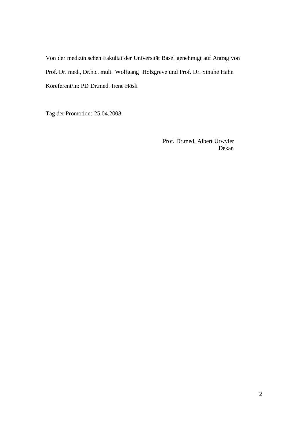Von der medizinischen Fakultät der Universität Basel genehmigt auf Antrag von Prof. Dr. med., Dr.h.c. mult. Wolfgang Holzgreve und Prof. Dr. Sinuhe Hahn Koreferent/in: PD Dr.med. Irene Hösli

Tag der Promotion: 25.04.2008

 Prof. Dr.med. Albert Urwyler **Dekan** Dekan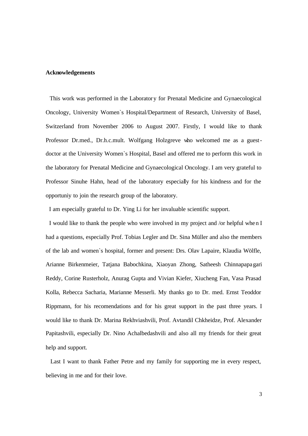### **Acknowledgements**

 This work was performed in the Laboratory for Prenatal Medicine and Gynaecological Oncology, University Women`s Hospital/Department of Research, University of Basel, Switzerland from November 2006 to August 2007. Firstly, I would like to thank Professor Dr.med., Dr.h.c.mult. Wolfgang Holzgreve who welcomed me as a guestdoctor at the University Women`s Hospital, Basel and offered me to perform this work in the laboratory for Prenatal Medicine and Gynaecological Oncology. I am very grateful to Professor Sinuhe Hahn, head of the laboratory especially for his kindness and for the opportuniy to join the research group of the laboratory.

I am especially grateful to Dr. Ying Li for her invaluable scientific support.

 I would like to thank the people who were involved in my project and /or helpful when I had a questions, especially Prof. Tobias Legler and Dr. Sina Müller and also the members of the lab and women`s hospital, former and present: Drs. Olav Lapaire, Klaudia Wölfle, Arianne Birkenmeier, Tatjana Babochkina, Xiaoyan Zhong, Satheesh Chinnapapagari Reddy, Corine Rusterholz, Anurag Gupta and Vivian Kiefer, Xiucheng Fan, Vasa Prasad Kolla, Rebecca Sacharia, Marianne Messerli. My thanks go to Dr. med. Ernst Teoddor Rippmann, for his recomendations and for his great support in the past three years. I would like to thank Dr. Marina Rekhviashvili, Prof. Avtandil Chkheidze, Prof. Alexander Papitashvili, especially Dr. Nino Achalbedashvili and also all my friends for their great help and support.

 Last I want to thank Father Petre and my family for supporting me in every respect, believing in me and for their love.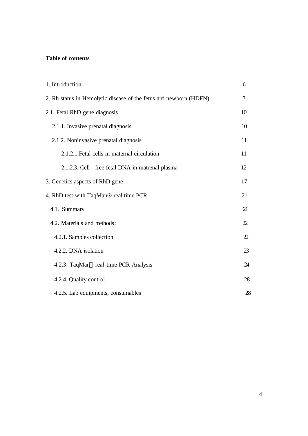# **Table of contents**

| 1. Introduction                                                   | 6  |  |
|-------------------------------------------------------------------|----|--|
| 2. Rh status in Hemolytic disease of the fetus and newborn (HDFN) |    |  |
| 2.1. Fetal RhD gene diagnosis                                     | 10 |  |
| 2.1.1. Invasive prenatal diagnosis                                | 10 |  |
| 2.1.2. Noninvasive prenatal diagnosis                             | 11 |  |
| 2.1.2.1. Fetal cells in maternal circulation                      | 11 |  |
| 2.1.2.3. Cell - free fetal DNA in matrenal plasma                 | 12 |  |
| 3. Genetics aspects of RhD gene                                   | 17 |  |
| 4. RhD test with TaqMan® real-time PCR                            | 21 |  |
| 4.1. Summary                                                      | 21 |  |
| 4.2. Materials and methods:                                       | 22 |  |
| 4.2.1. Samples collection                                         | 22 |  |
| 4.2.2. DNA isolation                                              | 23 |  |
| 4.2.3. TaqMan® real-time PCR Analysis                             | 24 |  |
| 4.2.4. Quality control                                            | 28 |  |
| 4.2.5. Lab equipments, consumables                                | 28 |  |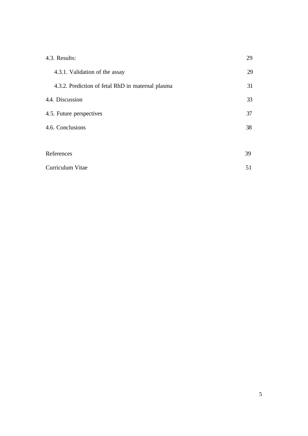| 4.3. Results:                                     | 29 |  |
|---------------------------------------------------|----|--|
| 4.3.1. Validation of the assay                    | 29 |  |
| 4.3.2. Prediction of fetal RhD in maternal plasma | 31 |  |
| 4.4. Discussion                                   | 33 |  |
| 4.5. Future perspectives                          | 37 |  |
| 4.6. Conclusions                                  |    |  |
|                                                   |    |  |
| References                                        | 39 |  |
| Curriculum Vitae                                  | 51 |  |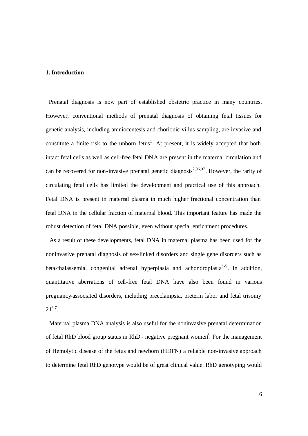### **1. Introduction**

 Prenatal diagnosis is now part of established obstetric practice in many countries. However, conventional methods of prenatal diagnosis of obtaining fetal tissues for genetic analysis, including amniocentesis and chorionic villus sampling, are invasive and constitute a finite risk to the unborn fetus<sup>1</sup>. At present, it is widely accepted that both intact fetal cells as well as cell-free fetal DNA are present in the maternal circulation and can be recovered for non-invasive prenatal genetic diagnosis<sup>2,96,97</sup>. However, the rarity of circulating fetal cells has limited the development and practical use of this approach. Fetal DNA is present in maternal plasma in much higher fractional concentration than fetal DNA in the cellular fraction of maternal blood. This important feature has made the robust detection of fetal DNA possible, even without special enrichment procedures.

 As a result of these developments, fetal DNA in maternal plasma has been used for the noninvasive prenatal diagnosis of sex-linked disorders and single gene disorders such as beta-thalassemia, congenital adrenal hyperplasia and achondroplasia<sup>3-5</sup>. In addition, quantitative aberrations of cell-free fetal DNA have also been found in various pregnancy-associated disorders, including preeclampsia, preterm labor and fetal trisomy  $21^{6,7}$ .

 Maternal plasma DNA analysis is also useful for the noninvasive prenatal determination of fetal RhD blood group status in RhD - negative pregnant women<sup>8</sup>. For the management of Hemolytic disease of the fetus and newborn (HDFN) a reliable non-invasive approach to determine fetal RhD genotype would be of great clinical value. RhD genotyping would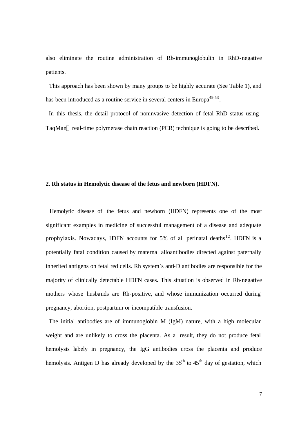also eliminate the routine administration of Rh-immunoglobulin in RhD-negative patients.

 This approach has been shown by many groups to be highly accurate (See Table 1), and has been introduced as a routine service in several centers in Europa<sup>49,53</sup>.

 In this thesis, the detail protocol of noninvasive detection of fetal RhD status using TaqMan® real-time polymerase chain reaction (PCR) technique is going to be described.

# **2. Rh status in Hemolytic disease of the fetus and newborn (HDFN).**

Hemolytic disease of the fetus and newborn (HDFN) represents one of the most significant examples in medicine of successful management of a disease and adequate prophylaxis. Nowadays, HDFN accounts for 5% of all perinatal deaths<sup>12</sup>. HDFN is a potentially fatal condition caused by maternal alloantibodies directed against paternally inherited antigens on fetal red cells. Rh system`s anti-D antibodies are responsible for the majority of clinically detectable HDFN cases. This situation is observed in Rh-negative mothers whose husbands are Rh-positive, and whose immunization occurred during pregnancy, abortion, postpartum or incompatible transfusion.

 The initial antibodies are of immunoglobin M (IgM) nature, with a high molecular weight and are unlikely to cross the placenta. As a result, they do not produce fetal hemolysis labely in pregnancy, the IgG antibodies cross the placenta and produce hemolysis. Antigen D has already developed by the  $35<sup>th</sup>$  to  $45<sup>th</sup>$  day of gestation, which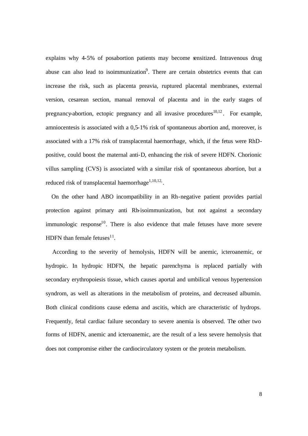explains why 4-5% of posabortion patients may become sensitized. Intravenous drug abuse can also lead to isoimmunization<sup>9</sup>. There are certain obstetrics events that can increase the risk, such as placenta preavia, ruptured placental membranes, external version, cesarean section, manual removal of placenta and in the early stages of pregnancy-abortion, ectopic pregnancy and all invasive procedures  $10,12$ . For example, amniocentesis is associated with a 0,5-1% risk of spontaneous abortion and, moreover, is associated with a 17% risk of transplacental haemorrhage, which, if the fetus were RhDpositive, could boost the maternal anti-D, enhancing the risk of severe HDFN. Chorionic villus sampling (CVS) is associated with a similar risk of spontaneous abortion, but a reduced risk of transplacental haemorrhage $1,10,12$ .

 On the other hand ABO incompatibility in an Rh-negative patient provides partial protection against primary anti Rh-isoimmunization, but not against a secondary immunologic response $10$ . There is also evidence that male fetuses have more severe HDFN than female fetuses $^{11}$ .

 According to the severity of hemolysis, HDFN will be anemic, icteroanemic, or hydropic. In hydropic HDFN, the hepatic parenchyma is replaced partially with secondary erythropoiesis tissue, which causes aportal and umbilical venous hypertension syndrom, as well as alterations in the metabolism of proteins, and decreased albumin. Both clinical conditions cause edema and ascitis, which are characteristic of hydrops. Frequently, fetal cardiac failure secondary to severe anemia is observed. The other two forms of HDFN, anemic and icteroanemic, are the result of a less severe hemolysis that does not compromise either the cardiocirculatory system or the protein metabolism.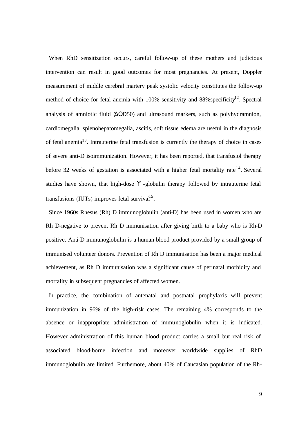When RhD sensitization occurs, careful follow-up of these mothers and judicious intervention can result in good outcomes for most pregnancies. At present, Doppler measurement of middle cerebral martery peak systolic velocity constitutes the follow-up method of choice for fetal anemia with 100% sensitivity and  $88\%$  specificity<sup>12</sup>. Spectral analysis of amniotic fluid (ΔΟD50) and ultrasound markers, such as polyhydramnion, cardiomegalia, splenohepatomegalia, ascitis, soft tissue edema are useful in the diagnosis of fetal anemia<sup>13</sup>. Intrauterine fetal transfusion is currently the therapy of choice in cases of severe anti-D isoimmunization. However, it has been reported, that transfusiol therapy before 32 weeks of gestation is associated with a higher fetal mortality rate<sup>14</sup>. Several studies have shown, that high-dose ϒ -globulin therapy followed by intrauterine fetal transfusions (IUTs) improves fetal survival<sup>15</sup>.

 Since 1960s Rhesus (Rh) D immunoglobulin (anti-D) has been used in women who are Rh D-negative to prevent Rh D immunisation after giving birth to a baby who is Rh-D positive. Anti-D immunoglobulin is a human blood product provided by a small group of immunised volunteer donors. Prevention of Rh D immunisation has been a major medical achievement, as Rh D immunisation was a significant cause of perinatal morbidity and mortality in subsequent pregnancies of affected women.

 In practice, the combination of antenatal and postnatal prophylaxis will prevent immunization in 96% of the high-risk cases. The remaining 4% corresponds to the absence or inappropriate administration of immunoglobulin when it is indicated. However administration of this human blood product carries a small but real risk of associated blood-borne infection and moreover worldwide supplies of RhD immunoglobulin are limited. Furthemore, about 40% of Caucasian population of the Rh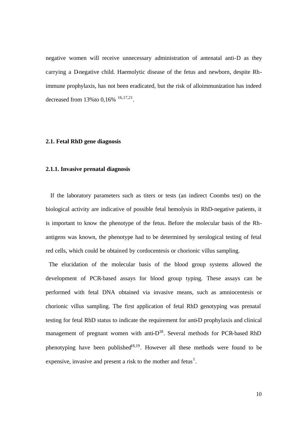negative women will receive unnecessary administration of antenatal anti-D as they carrying a D-negative child. Haemolytic disease of the fetus and newborn, despite Rhimmune prophylaxis, has not been eradicated, but the risk of alloimmunization has indeed decreased from 13% to  $0,16\%$   $16,17,21$ .

### **2.1. Fetal RhD gene diagnosis**

### **2.1.1. Invasive prenatal diagnosis**

 If the laboratory parameters such as titers or tests (an indirect Coombs test) on the biological activity are indicative of possible fetal hemolysis in RhD-negative patients, it is important to know the phenotype of the fetus. Before the molecular basis of the Rhantigens was known, the phenotype had to be determined by serological testing of fetal red cells, which could be obtained by cordocentesis or chorionic villus sampling.

 The elucidation of the molecular basis of the blood group systems allowed the development of PCR-based assays for blood group typing. These assays can be performed with fetal DNA obtained via invasive means, such as amniocentesis or chorionic villus sampling. The first application of fetal RhD genotyping was prenatal testing for fetal RhD status to indicate the requirement for anti-D prophylaxis and clinical management of pregnant women with anti- $D^{18}$ . Several methods for PCR-based RhD phenotyping have been published<sup>18,19</sup>. However all these methods were found to be expensive, invasive and present a risk to the mother and fetus<sup>1</sup>.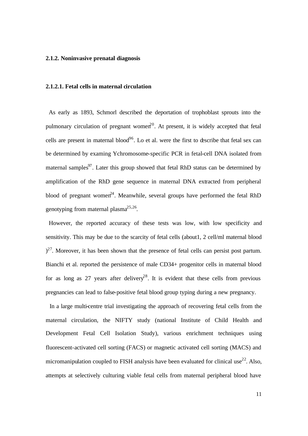### **2.1.2. Noninvasive prenatal diagnosis**

### **2.1.2.1. Fetal cells in maternal circulation**

 As early as 1893, Schmorl described the deportation of trophoblast sprouts into the pulmonary circulation of pregnant women<sup>20</sup>. At present, it is widely accepted that fetal cells are present in maternal blood<sup>96</sup>. Lo et al. were the first to describe that fetal sex can be determined by examing Ychromosome-specific PCR in fetal-cell DNA isolated from maternal samples<sup>97</sup>. Later this group showed that fetal RhD status can be determined by amplification of the RhD gene sequence in maternal DNA extracted from peripheral blood of pregnant women<sup>24</sup>. Meanwhile, several groups have performed the fetal RhD genotyping from maternal plasma $^{25,26}$ .

 However, the reported accuracy of these tests was low, with low specificity and sensitivity. This may be due to the scarcity of fetal cells (about1, 2 cell/ml maternal blood  $(2^7)$ . Moreover, it has been shown that the presence of fetal cells can persist post partum. Bianchi et al. reported the persistence of male CD34+ progenitor cells in maternal blood for as long as 27 years after delivery<sup>28</sup>. It is evident that these cells from previous pregnancies can lead to false-positive fetal blood group typing during a new pregnancy.

 In a large multi-centre trial investigating the approach of recovering fetal cells from the maternal circulation, the NIFTY study (national Institute of Child Health and Development Fetal Cell Isolation Study), various enrichment techniques using fluorescent-activated cell sorting (FACS) or magnetic activated cell sorting (MACS) and micromanipulation coupled to FISH analysis have been evaluated for clinical use<sup>22</sup>. Also, attempts at selectively culturing viable fetal cells from maternal peripheral blood have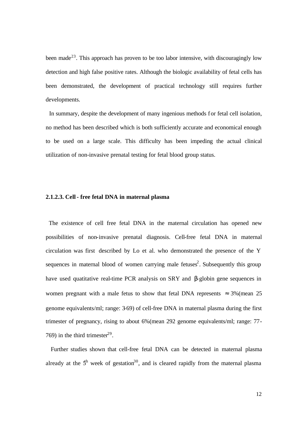been made<sup>23</sup>. This approach has proven to be too labor intensive, with discouragingly low detection and high false positive rates. Although the biologic availability of fetal cells has been demonstrated, the development of practical technology still requires further developments.

 In summary, despite the development of many ingenious methods for fetal cell isolation, no method has been described which is both sufficiently accurate and economical enough to be used on a large scale. This difficulty has been impeding the actual clinical utilization of non-invasive prenatal testing for fetal blood group status.

### **2.1.2.3. Cell - free fetal DNA in maternal plasma**

 The existence of cell free fetal DNA in the maternal circulation has opened new possibilities of non-invasive prenatal diagnosis. Cell-free fetal DNA in maternal circulation was first described by Lo et al. who demonstrated the presence of the Y sequences in maternal blood of women carrying male fetuses<sup>2</sup>. Subsequently this group have used quatitative real-time PCR analysis on SRY and β-globin gene sequences in women pregnant with a male fetus to show that fetal DNA represents  $\approx 3\%$  (mean 25 genome equivalents/ml; range: 3-69) of cell-free DNA in maternal plasma during the first trimester of pregnancy, rising to about 6%(mean 292 genome equivalents/ml; range: 77- 769) in the third trimester<sup>29</sup>.

 Further studies shown that cell-free fetal DNA can be detected in maternal plasma already at the  $5<sup>th</sup>$  week of gestation<sup>30</sup>, and is cleared rapidly from the maternal plasma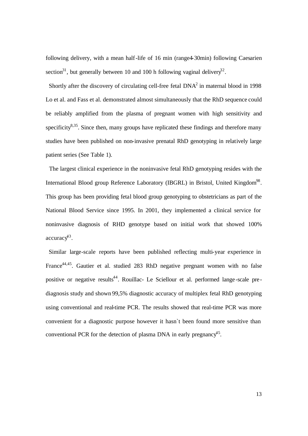following delivery, with a mean half-life of 16 min (range4-30min) following Caesarien section<sup>31</sup>, but generally between 10 and 100 h following vaginal delivery<sup>32</sup>.

Shortly after the discovery of circulating cell-free fetal  $DNA<sup>2</sup>$  in maternal blood in 1998 Lo et al. and Fass et al. demonstrated almost simultaneously that the RhD sequence could be reliably amplified from the plasma of pregnant women with high sensitivity and specificity<sup>8,35</sup>. Since then, many groups have replicated these findings and therefore many studies have been published on non-invasive prenatal RhD genotyping in relatively large patient series (See Table 1).

 The largest clinical experience in the noninvasive fetal RhD genotyping resides with the International Blood group Reference Laboratory (IBGRL) in Bristol, United Kingdom<sup>98</sup>. This group has been providing fetal blood group genotyping to obstetricians as part of the National Blood Service since 1995. In 2001, they implemented a clinical service for noninvasive diagnosis of RHD genotype based on initial work that showed 100%  $accuracy^{43}$ .

 Similar large-scale reports have been published reflecting multi-year experience in France<sup>44,45</sup>. Gautier et al. studied 283 RhD negative pregnant women with no false positive or negative results<sup>44</sup>. Rouillac- Le Sciellour et al. performed lange-scale prediagnosis study and shown 99,5% diagnostic accuracy of multiplex fetal RhD genotyping using conventional and real-time PCR. The results showed that real-time PCR was more convenient for a diagnostic purpose however it hasn`t been found more sensitive than conventional PCR for the detection of plasma DNA in early pregnancy<sup>45</sup>.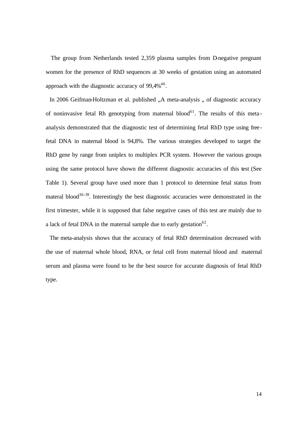The group from Netherlands tested 2,359 plasma samples from D-negative pregnant women for the presence of RhD sequences at 30 weeks of gestation using an automated approach with the diagnostic accuracy of  $99,4\%$ <sup>46</sup>.

In 2006 Geifman-Holtzman et al. published "A meta-analysis " of diagnostic accuracy of noninvasive fetal Rh genotyping from maternal blood<sup>61</sup>. The results of this metaanalysis demonstrated that the diagnostic test of determining fetal RhD type using freefetal DNA in maternal blood is 94,8%. The various strategies developed to target the RhD gene by range from uniplex to multiplex PCR system. However the various groups using the same protocol have shown the different diagnostic accuracies of this test (See Table 1). Several group have used more than 1 protocol to determine fetal status from materal blood<sup>36-39</sup>. Interestingly the best diagnostic accuracies were demonstrated in the first trimester, while it is supposed that false negative cases of this test are mainly due to a lack of fetal DNA in the maternal sample due to early gestation<sup>62</sup>.

 The meta-analysis shows that the accuracy of fetal RhD determination decreased with the use of maternal whole blood, RNA, or fetal cell from maternal blood and maternal serum and plasma were found to be the best source for accurate diagnosis of fetal RhD type.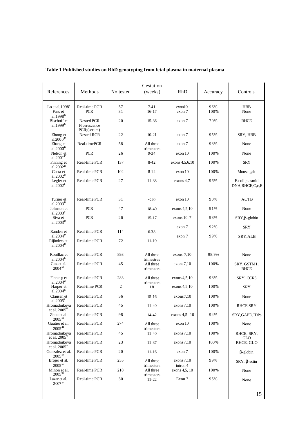| References                                             | Methods                                   | No.tested | Gestation<br>(weeks)                  | RhD                    | Accuracy    | Controls                             |
|--------------------------------------------------------|-------------------------------------------|-----------|---------------------------------------|------------------------|-------------|--------------------------------------|
| Lo et al. $19988$<br>Fass et<br>al.1998 $^{\text{3}}$  | Real-time PCR<br><b>PCR</b>               | 57<br>31  | $7 - 41$<br>$16 - 17$                 | exon10<br>exon 7       | 96%<br>100% | <b>HBB</b><br>None                   |
| Bischoff et<br>al.1999 $\frac{3}{2}$                   | Nested PCR<br>Fluerescence<br>PCR;(serum) | 20        | 15-36                                 | exon 7                 | 70%         | <b>RHCE</b>                          |
| Zhong et<br>al. $2000^{40}$                            | <b>Nested RCR</b>                         | 22        | $10 - 21$                             | exon 7                 | 95%         | SRY, HBB                             |
| Zhang et<br>$a1.2000^{46}$                             | Real-timePCR                              | 58        | All three<br>trimesters               | exon 7                 | 98%         | None                                 |
| Nelson et<br>al.2001 $4$                               | <b>PCR</b>                                | 26        | $9 - 34$                              | exon 10                | 100%        | None                                 |
| Finning et<br>al.2002 <sup>8</sup>                     | Real-time PCR                             | 137       | 8-42                                  | exons 4,5,6,10         | 100%        | SRY                                  |
| Costa et<br>al.2002 $2^{\circ}$                        | Real-time PCR                             | 102       | $8 - 14$                              | exon 10                | 100%        | Mouse galt                           |
| Legler et<br>a1.2002 <sup>41</sup>                     | Real-time PCR                             | 27        | 11-38                                 | $exons$ 4.7            | 96%         | E.coli plasmid<br>DNA, RHCE, C, c, E |
| Turner et<br>$a1.2003^8$                               | Real-time PCR                             | 31        | < 20                                  | exon 10                | 90%         | <b>ACTB</b>                          |
| Johnson et<br>$a1.2003^{37}$                           | <b>PCR</b>                                | 47        | 18-40                                 | exons 4, 5, 10         | 91%         | None                                 |
| Siva et<br>$a1.2003^{50}$                              | <b>PCR</b>                                | 26        | $15 - 17$                             | exons $10, 7$          | 98%         | $SRY, \beta$ -globin                 |
| Randen et                                              | Real-time PCR                             | 114       | $6 - 38$                              | exon 7                 | 92%         | SRY                                  |
| al.2004 $\rm{^{49}}$<br>Rijinders et<br>$a1.2004^{38}$ | Real-time PCR                             | 72        | $11 - 19$                             | exon 7                 | 99%         | SRY, ALB                             |
| Rouillac et                                            | Real-time PCR                             | 893       | All three                             | exons $7,10$           | 98,9%       | None                                 |
| al. $2004^{\frac{5}{6}}$<br>Guz et al.<br>$2004^{58}$  | Real-time PCR                             | 45        | trimestres<br>All three<br>trimesters | exons 7,10             | 100%        | SRY, GSTM1,<br><b>RHCE</b>           |
| Finnin g et<br>al.2004 $\frac{5}{2}$                   | Real-time PCR                             | 283       | All three                             | exons 4, 5, 10         | 98%         | SRY, CCR5                            |
| Harper et<br>$a1.2004^{5}$                             | Real-time PCR                             | 2         | trimesters<br>18                      | exons 4, 5, 10         | 100%        | SRY                                  |
| Clausen et<br>al. $2005^{51}$                          | Real-time PCR                             | 56        | $15 - 16$                             | exons7,10              | 100%        | None                                 |
| Hromadnikova<br>et al. $2005^{39}$                     | Real-time PCR                             | 45        | $11-40$                               | exons 7,10             | 100%        | RHCE, SRY                            |
| Zhou et al.<br>$2005^{52}$                             | Real-time PCR                             | 98        | 14-42                                 | exons $4,5$ 10         | 94%         | SRY, GAPD, IDPs                      |
| Gautier et al.<br>200544                               | Real-time PCR                             | 274       | All three<br>trimesters               | exon 10                | 100%        | None                                 |
| Hromadnikova<br>et al. $2005^{78}$                     | Real-time PCR                             | 45        | $11-40$                               | exons 7,10             | 100%        | RHCE, SRY,<br>GLO                    |
| Hromadnikova<br>et al. $2005^{7}$                      | Real-time PCR                             | 23        | 11-37                                 | exons 7,10             | 100%        | RHCE, GLO                            |
| Gonzalez et al.<br>$2005^{54}$                         | Real-time PCR                             | 20        | $11 - 16$                             | exon 7                 | 100%        | $\beta$ -globin                      |
| Brojer et al.<br>$2005^{55}$                           | Real-time PCR                             | 255       | All three<br>trimesters               | exons 7,10<br>intron 4 | 99%         | $SRY$ , $\beta$ -actin               |
| Minon et al.<br>200592                                 | Real-time PCR                             | 218       | All three<br>trimesters               | exons 4,5, 10          | 100%        | None                                 |
| Lazar et al.<br>200757                                 | Real-time PCR                             | 30        | $11 - 22$                             | Exon 7                 | 95%         | None                                 |
|                                                        |                                           |           |                                       |                        |             | 15                                   |

# **Table 1 Published studies on RhD genotyping from fetal plasma in maternal plasma**

15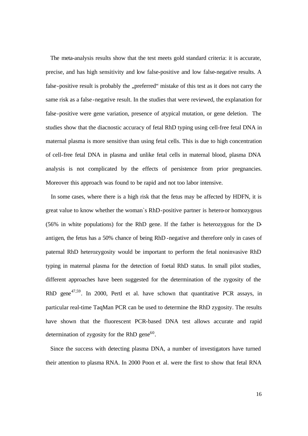The meta-analysis results show that the test meets gold standard criteria: it is accurate, precise, and has high sensitivity and low false-positive and low false-negative results. A false-positive result is probably the "preferred" mistake of this test as it does not carry the same risk as a false -negative result. In the studies that were reviewed, the explanation for false-positive were gene variation, presence of atypical mutation, or gene deletion. The studies show that the diacnostic accuracy of fetal RhD typing using cell-free fetal DNA in maternal plasma is more sensitive than using fetal cells. This is due to high concentration of cell-free fetal DNA in plasma and unlike fetal cells in maternal blood, plasma DNA analysis is not complicated by the effects of persistence from prior pregnancies. Moreover this approach was found to be rapid and not too labor intensive.

 In some cases, where there is a high risk that the fetus may be affected by HDFN, it is great value to know whether the woman`s RhD-positive partner is hetero-or homozygous (56% in white populations) for the RhD gene. If the father is heterozygous for the Dantigen, the fetus has a 50% chance of being RhD -negative and therefore only in cases of paternal RhD heterozygosity would be important to perform the fetal noninvasive RhD typing in maternal plasma for the detection of foetal RhD status. In small pilot studies, different approaches have been suggested for the determination of the zygosity of the RhD gene<sup> $47,59$ </sup>. In 2000, Pertl et al. have schown that quantitative PCR assays, in particular real-time TaqMan PCR can be used to determine the RhD zygosity. The results have shown that the fluorescent PCR-based DNA test allows accurate and rapid determination of zygosity for the RhD gene $60$ .

 Since the success with detecting plasma DNA, a number of investigators have turned their attention to plasma RNA. In 2000 Poon et al. were the first to show that fetal RNA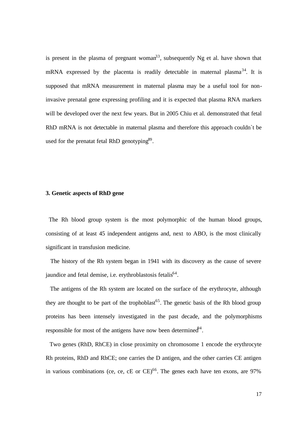is present in the plasma of pregnant woman<sup>33</sup>, subsequently Ng et al. have shown that mRNA expressed by the placenta is readily detectable in maternal plasma<sup>34</sup>. It is supposed that mRNA measurement in maternal plasma may be a useful tool for noninvasive prenatal gene expressing profiling and it is expected that plasma RNA markers will be developed over the next few years. But in 2005 Chiu et al. demonstrated that fetal RhD mRNA is not detectable in maternal plasma and therefore this approach couldn't be used for the prenatat fetal RhD genotyping<sup>89</sup>.

## **3. Genetic aspects of RhD gene**

The Rh blood group system is the most polymorphic of the human blood groups, consisting of at least 45 independent antigens and, next to ABO, is the most clinically significant in transfusion medicine.

 The history of the Rh system began in 1941 with its discovery as the cause of severe jaundice and fetal demise, i.e. erythroblastosis fetalis<sup>64</sup>.

 The antigens of the Rh system are located on the surface of the erythrocyte, although they are thought to be part of the trophoblast<sup>65</sup>. The genetic basis of the Rh blood group proteins has been intensely investigated in the past decade, and the polymorphisms responsible for most of the antigens have now been determined  $\theta^4$ .

 Two genes (RhD, RhCE) in close proximity on chromosome 1 encode the erythrocyte Rh proteins, RhD and RhCE; one carries the D antigen, and the other carries CE antigen in various combinations (ce, ce, cE or  $CE$ )<sup>66</sup>. The genes each have ten exons, are 97%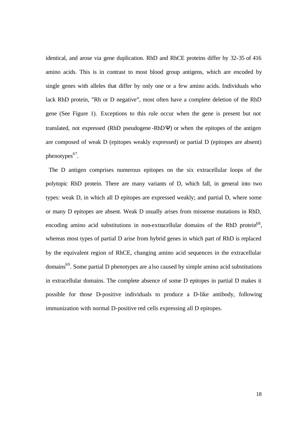identical, and arose via gene duplication. RhD and RhCE proteins differ by 32-35 of 416 amino acids. This is in contrast to most blood group antigens, which are encoded by single genes with alleles that differ by only one or a few amino acids. Individuals who lack RhD protein, "Rh or D negative", most often have a complete deletion of the RhD gene (See Figure 1). Exceptions to this rule occur when the gene is present but not translated, not expressed (RhD pseudogene -RhDΨ) or when the epitopes of the antigen are composed of weak D (epitopes weakly expressed) or partial D (epitopes are absent) phenotypes<sup>67</sup>.

 The D antigen comprises numerous epitopes on the six extracellular loops of the polytopic RhD protein. There are many variants of D, which fall, in general into two types: weak D, in which all D epitopes are expressed weakly; and partial D, where some or many D epitopes are absent. Weak D usually arises from missense mutations in RhD, encoding amino acid substitutions in non-extracellular domains of the RhD protein<sup>68</sup>, whereas most types of partial D arise from hybrid genes in which part of RhD is replaced by the equivalent region of RhCE, changing amino acid sequences in the extracellular domains<sup>69</sup>. Some partial D phenotypes are a lso caused by simple amino acid substitutions in extracellular domains. The complete absence of some D epitopes in partial D makes it possible for those D-positive individuals to produce a D-like antibody, following immunization with normal D-positive red cells expressing all D epitopes.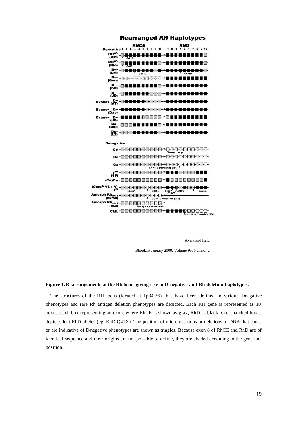

**Rearranged RH Haplotypes** 

Avent and Reid

Blood,15 January 2000; Volume 95, Number 2

#### **Figure 1. Rearrangements at the Rh locus giving rise to D-negative and Rh deletion haplotypes.**

The structures of the RH locus (located at  $1p34-36$ ) that have been defined in various Dnegative phenotypes and rare Rh antigen deletion phenotypes are depicted. Each RH gene is represented as 10 boxes, each box representing an exon, where RhCE is shown as gray, RhD as black. Crosshatched boxes depict silent RhD alleles (eg, RhD Q41X). The position of microinsertions or deletions of DNA that cause or are indicative of D-negative phenotypes are shown as triagles. Because exon 8 of RhCE and RhD are of identical sequence and their origins are not possible to define, they are shaded according to the gene loci position.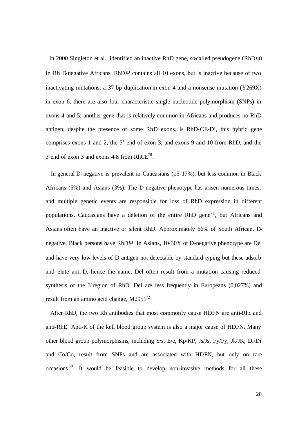In 2000 Singleton et al. identified an inactive RhD gene, so-called pseudogene (RhD $\psi$ ) in Rh D-negative Africans. RhDΨ contains all 10 exons, but is inactive because of two inactivating mutations, a 37-bp duplication in exon 4 and a nonsense mutation (Y269X) in exon 6, there are also four characteristic single nucleotide polymorphism (SNPs) in exons 4 and 5; another gene that is relatively common in Africans and produces no RhD antigen, despite the presence of some RhD exons, is RhD-CE-D<sup>s</sup>, this hybrid gene comprises exons 1 and 2, the 5' end of exon 3, and exons 9 and 10 from RhD, and the 3' end of exon 3 and exons  $4-8$  from RhCE<sup>70</sup>.

 In general D-negative is prevalent in Caucasians (15-17%), but less common in Black Africans (5%) and Asians (3%). The D-negative phenotype has arisen numerous times, and multiple genetic events are responsible for loss of RhD expression in different populations. Caucasians have a deletion of the entire RhD gene<sup>71</sup>, but Africans and Asians often have an inactive or silent RhD. Approximately 66% of South African, Dnegative, Black persons have RhDΨ. In Asians, 10-30% of D-negative phenotype are Del and have very low levels of D antigen not detectable by standard typing but these adsorb and elute anti-D, hence the name. Del often result from a mutation causing reduced synthesis of the 3`region of RhD. Del are less frequently in Europeans (0,027%) and result from an amino acid change,  $M2951^{72}$ .

 After RhD, the two Rh antibodies that most commonly cause HDFN are anti-Rhc and anti-RhE. Anti-K of the kell blood group system is also a major cause of HDFN. Many other blood group polymorphisms, including S/s, E/e, Kp/KP, Js/Js, Fy/Fy, Jk/JK, Di/Di and Co/Co, result from SNPs and are associated with HDFN, but only on rare occasions <sup>69</sup>. It would be feasible to develop non-invasive methods for all these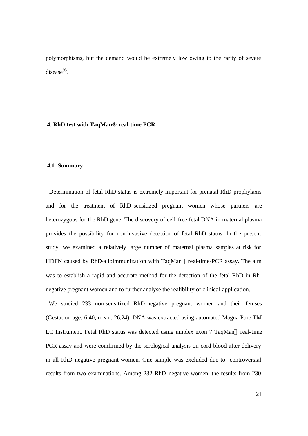polymorphisms, but the demand would be extremely low owing to the rarity of severe disease $93$ .

### **4. RhD test with TaqMan® real-time PCR**

### **4.1. Summary**

Determination of fetal RhD status is extremely important for prenatal RhD prophylaxis and for the treatment of RhD-sensitized pregnant women whose partners are heterozygous for the RhD gene. The discovery of cell-free fetal DNA in maternal plasma provides the possibility for non-invasive detection of fetal RhD status. In the present study, we examined a relatively large number of maternal plasma samples at risk for HDFN caused by RhD-alloimmunization with TaqMan® real-time-PCR assay. The aim was to establish a rapid and accurate method for the detection of the fetal RhD in Rhnegative pregnant women and to further analyse the realibility of clinical application.

 We studied 233 non-sensitized RhD-negative pregnant women and their fetuses (Gestation age: 6-40, mean: 26,24). DNA was extracted using automated Magna Pure TM LC Instrument. Fetal RhD status was detected using uniplex exon 7 TaqMan® real-time PCR assay and were comfirmed by the serological analysis on cord blood after delivery in all RhD-negative pregnant women. One sample was excluded due to controversial results from two examinations. Among 232 RhD-negative women, the results from 230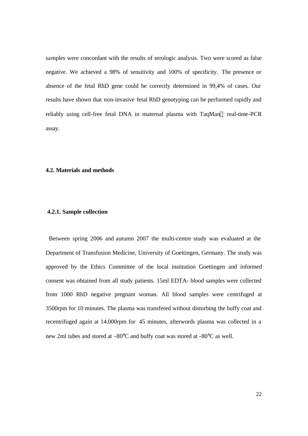samples were concordant with the results of serologic analysis. Two were scored as false negative. We achieved a 98% of sensitivity and 100% of specificity. The presence or absence of the fetal RhD gene could be correctly determined in 99,4% of cases. Our results have shown that non-invasive fetal RhD genotyping can be performed rapidly and reliably using cell-free fetal DNA in maternal plasma with TaqMan® real-time-PCR assay.

### **4.2. Materials and methods**

### **4.2.1. Sample collection**

Between spring 2006 and autumn 2007 the multi-centre study was evaluated at the Department of Transfusion Medicine, University of Goettingen, Germany. The study was approved by the Ethics Committee of the local institution Goettingen and informed consent was obtained from all study patients. 15ml EDTA- blood samples were collected from 1000 RhD negative pregnant woman. All blood samples were centrifuged at 3500rpm for 10 minutes. The plasma was transfered without disturbing the buffy coat and recentrifuged again at 14.000rpm for 45 minutes, afterwords plasma was collected in a new 2ml tubes and stored at -80°C and buffy coat was stored at -80°C as well.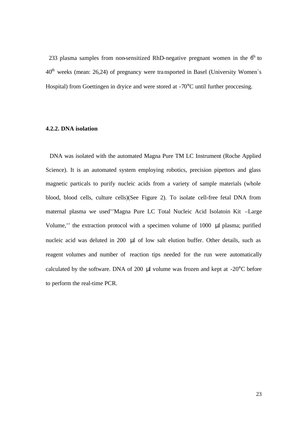233 plasma samples from non-sensitized RhD-negative pregnant women in the  $6<sup>h</sup>$  to  $40<sup>th</sup>$  weeks (mean: 26,24) of pregnancy were transported in Basel (University Women's Hospital) from Goettingen in dryice and were stored at -70°C until further proccesing.

# **4.2.2. DNA isolation**

 DNA was isolated with the automated Magna Pure TM LC Instrument (Roche Applied Science). It is an automated system employing robotics, precision pipettors and glass magnetic particals to purify nucleic acids from a variety of sample materials (whole blood, blood cells, culture cells)(See Figure 2). To isolate cell-free fetal DNA from maternal plasma we used''Magna Pure LC Total Nucleic Acid Isolatoin Kit –Large Volume,'' the extraction protocol with a specimen volume of 1000 μl plasma; purified nucleic acid was deluted in 200 μl of low salt elution buffer. Other details, such as reagent volumes and number of reaction tips needed for the run were automatically calculated by the software. DNA of 200 μl volume was frozen and kept at -20°C before to perform the real-time PCR.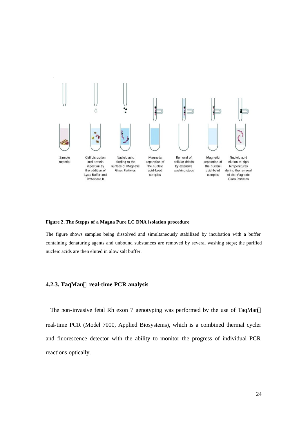

#### **Figure 2. The Stepps of a Magna Pure LC DNA isolation procedure**

The figure shows samples being dissolved and simultaneously stabilized by incubation with a buffer containing denaturing agents and unbound substances are removed by several washing steps; the purified nucleic acids are then eluted in alow salt buffer.

### **4.2.3. TaqManâ real-time PCR analysis**

The non-invasive fetal Rh exon 7 genotyping was performed by the use of TaqMan® real-time PCR (Model 7000, Applied Biosystems), which is a combined thermal cycler and fluorescence detector with the ability to monitor the progress of individual PCR reactions optically.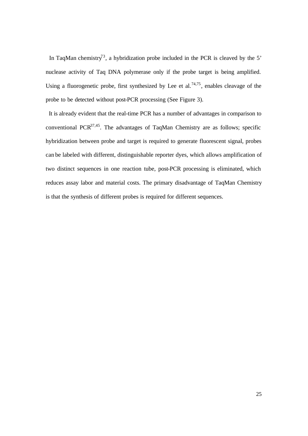In TaqMan chemistry<sup>73</sup>, a hybridization probe included in the PCR is cleaved by the 5' nuclease activity of Taq DNA polymerase only if the probe target is being amplified. Using a fluorogenetic probe, first synthesized by Lee et al.<sup>74,75</sup>, enables cleavage of the probe to be detected without post-PCR processing (See Figure 3).

 It is already evident that the real-time PCR has a number of advantages in comparison to conventional PCR $37,45$ . The advantages of TaqMan Chemistry are as follows; specific hybridization between probe and target is required to generate fluorescent signal, probes can be labeled with different, distinguishable reporter dyes, which allows amplification of two distinct sequences in one reaction tube, post-PCR processing is eliminated, which reduces assay labor and material costs. The primary disadvantage of TaqMan Chemistry is that the synthesis of different probes is required for different sequences.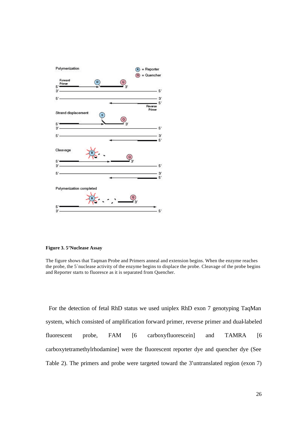

**Figure 3. 5'Nuclease Assay**

The figure shows that Taqman Probe and Primers anneal and extension begins. When the enzyme reaches the probe, the 5`nuclease activity of the enzyme begins to displace the probe. Cleavage of the probe begins and Reporter starts to fluoresce as it is separated from Quencher.

 For the detection of fetal RhD status we used uniplex RhD exon 7 genotyping TaqMan system, which consisted of amplification forward primer, reverse primer and dual-labeled fluorescent probe, FAM [6 carboxyfluorescein] and TAMRA [6 carboxytetramethylrhodamine] were the fluorescent reporter dye and quencher dye (See Table 2). The primers and probe were targeted toward the 3'untranslated region (exon 7)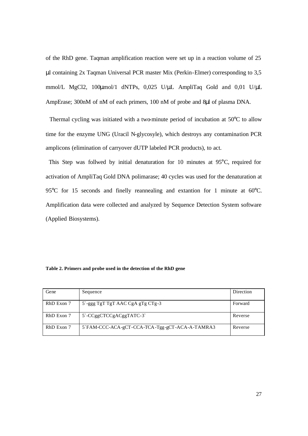of the RhD gene. Taqman amplification reaction were set up in a reaction volume of 25 μl containing 2x Taqman Universal PCR master Mix (Perkin-Elmer) corresponding to 3,5 mmol/L MgCl2, 100μmol/1 dNTPs, 0,025 U/μL AmpliTaq Gold and 0,01 U/μL AmpErase; 300nM of nM of each primers, 100 nM of probe and 8μl of plasma DNA.

 Thermal cycling was initiated with a two-minute period of incubation at 50°C to allow time for the enzyme UNG (Uracil N-glycosyle), which destroys any contamination PCR amplicons (elimination of carryover dUTP labeled PCR products), to act.

 This Step was follwed by initial denaturation for 10 minutes at 95°C, required for activation of AmpliTaq Gold DNA polimarase; 40 cycles was used for the denaturation at 95°C for 15 seconds and finelly reannealing and extantion for 1 minute at 60°C. Amplification data were collected and analyzed by Sequence Detection System software (Applied Biosystems).

| Table 2. Primers and probe used in the detection of the RhD gene |  |  |  |  |
|------------------------------------------------------------------|--|--|--|--|
|------------------------------------------------------------------|--|--|--|--|

| Gene       | Sequence                                       | Direction |
|------------|------------------------------------------------|-----------|
| RhD Exon 7 | 5'-ggg TgT TgT AAC CgA gTg CTg-3               | Forward   |
| RhD Exon 7 | $5$ -CCggCTCCgACggTATC-3                       | Reverse   |
| RhD Exon 7 | 5`FAM-CCC-ACA-gCT-CCA-TCA-Tgg-gCT-ACA-A-TAMRA3 | Reverse   |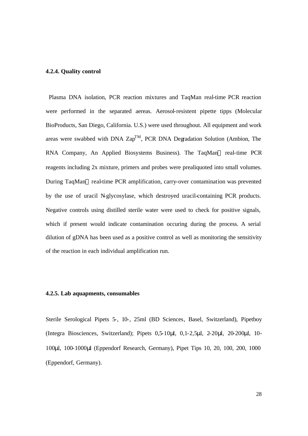### **4.2.4. Quality control**

 Plasma DNA isolation, PCR reaction mixtures and TaqMan real-time PCR reaction were performed in the separated aereas. Aerosol-resistent pipette tipps (Molecular BioProducts, San Diego, California. U.S.) were used throughout. All equipment and work areas were swabbed with DNA  $\text{Zap}^{\text{TM}}$ , PCR DNA Degradation Solution (Ambion, The RNA Company, An Applied Biosystems Business). The TaqMan® real-time PCR reagents including 2x mixture, primers and probes were prealiquoted into small volumes. During TaqMan® real-time PCR amplification, carry-over contamination was prevented by the use of uracil N-glycosylase, which destroyed uracil-containing PCR products. Negative controls using distilled sterile water were used to check for positive signals, which if present would indicate contamination occuring during the process. A serial dilution of gDNA has been used as a positive control as well as monitoring the sensitivity of the reaction in each individual amplification run.

### **4.2.5. Lab aquapments, consumables**

Sterile Serological Pipets 5-, 10-, 25ml (BD Sciences, Basel, Switzerland), Pipetboy (Integra Biosciences, Switzerland); Pipets 0,5-10μl, 0,1-2,5μl, 2-20μl, 20-200μl, 10- 100μl, 100-1000μl (Eppendorf Research, Germany), Pipet Tips 10, 20, 100, 200, 1000 (Eppendorf, Germany).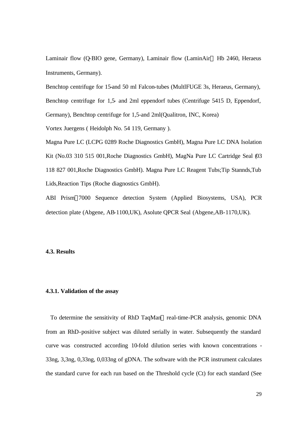Laminair flow (Q-BIO gene, Germany), Laminair flow (LaminAir<sup>®</sup> Hb 2460, Heraeus Instruments, Germany).

Benchtop centrifuge for 15-and 50 ml Falcon-tubes (MultlFUGE 3s, Heraeus, Germany), Benchtop centrifuge for 1,5- and 2ml eppendorf tubes (Centrifuge 5415 D, Eppendorf, Germany), Benchtop centrifuge for 1,5-and 2ml(Qualitron, INC, Korea)

Vortex Juergens ( Heidolph No. 54 119, Germany ).

Magna Pure LC (LCPG 0289 Roche Diagnostics GmbH), Magna Pure LC DNA Isolation Kit (No.03 310 515 001,Roche Diagnostics GmbH), MagNa Pure LC Cartridge Seal (03 118 827 001,Roche Diagnostics GmbH). Magna Pure LC Reagent Tubs;Tip Stannds,Tub Lids,Reaction Tips (Roche diagnostics GmbH).

ABI Prism®7000 Sequence detection System (Applied Biosystems, USA), PCR detection plate (Abgene, AB-1100,UK), Asolute QPCR Seal (Abgene,AB-1170,UK).

### **4.3. Results**

### **4.3.1. Validation of the assay**

To determine the sensitivity of RhD TaqMan® real-time-PCR analysis, genomic DNA from an RhD-positive subject was diluted serially in water. Subsequently the standard curve was constructed according 10-fold dilution series with known concentrations - 33ng, 3,3ng, 0,33ng, 0,033ng of gDNA. The software with the PCR instrument calculates the standard curve for each run based on the Threshold cycle (Ct) for each standard (See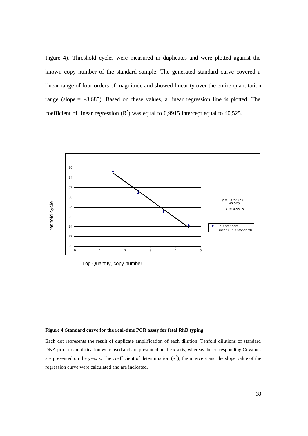Figure 4). Threshold cycles were measured in duplicates and were plotted against the known copy number of the standard sample. The generated standard curve covered a linear range of four orders of magnitude and showed linearity over the entire quantitation range (slope = -3,685). Based on these values, a linear regression line is plotted. The coefficient of linear regression  $(R^2)$  was equal to 0,9915 intercept equal to 40,525.



Log Quantity, copy number

### **Figure 4.Standard curve for the real-time PCR assay for fetal RhD typing**

Each dot represents the result of duplicate amplification of each dilution. Tenfold dilutions of standard DNA prior to amplification were used and are presented on the x-axis, whereas the corresponding Ct values are presented on the y-axis. The coefficient of determination  $(R^2)$ , the intercept and the slope value of the regression curve were calculated and are indicated.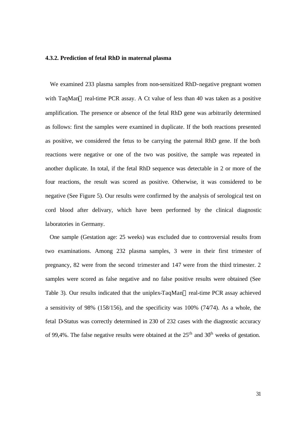### **4.3.2. Prediction of fetal RhD in maternal plasma**

 We examined 233 plasma samples from non-sensitized RhD-negative pregnant women with TaqMan® real-time PCR assay. A Ct value of less than 40 was taken as a positive amplification. The presence or absence of the fetal RhD gene was arbitrarily determined as follows: first the samples were examined in duplicate. If the both reactions presented as positive, we considered the fetus to be carrying the paternal RhD gene. If the both reactions were negative or one of the two was positive, the sample was repeated in another duplicate. In total, if the fetal RhD sequence was detectable in 2 or more of the four reactions, the result was scored as positive. Otherwise, it was considered to be negative (See Figure 5). Our results were confirmed by the analysis of serological test on cord blood after delivary, which have been performed by the clinical diagnostic laboratories in Germany.

 One sample (Gestation age: 25 weeks) was excluded due to controversial results from two examinations. Among 232 plasma samples, 3 were in their first trimester of pregnancy, 82 were from the second trimester and 147 were from the third trimester. 2 samples were scored as false negative and no false positive results were obtained (See Table 3). Our results indicated that the uniplex-TaqMan® real-time PCR assay achieved a sensitivity of 98% (158/156), and the specificity was 100% (74/74). As a whole, the fetal D-Status was correctly determined in 230 of 232 cases with the diagnostic accuracy of 99,4%. The false negative results were obtained at the  $25<sup>th</sup>$  and  $30<sup>th</sup>$  weeks of gestation.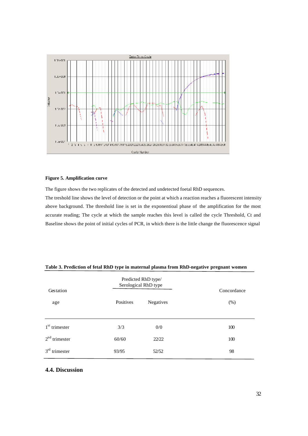

### **Figure 5. Amplification curve**

The figure shows the two replicates of the detected and undetected foetal RhD sequences.

The treshold line shows the level of detection or the point at which a reaction reaches a fluorescent intensity above background. The threshold line is set in the exponentioal phase of the amplification for the most accurate reading; The cycle at which the sample reaches this level is called the cycle Threshold, Ct and Baseline shows the point of initial cycles of PCR, in which there is the little change the fluorescence signal

|                              |           | Predicted RhD type/<br>Serological RhD type |                     |  |
|------------------------------|-----------|---------------------------------------------|---------------------|--|
| Gestation<br>age             | Positives | Negatives                                   | Concordance<br>(% ) |  |
| $1st$ trimester              | 3/3       | 0/0                                         | 100                 |  |
| $2nd$ trimester              | 60/60     | 22/22                                       | 100                 |  |
| 3 <sup>rd</sup><br>trimester | 93/95     | 52/52                                       | 98                  |  |

### **Table 3. Prediction of fetal RhD type in maternal plasma from RhD-negative pregnant women**

### **4.4. Discussion**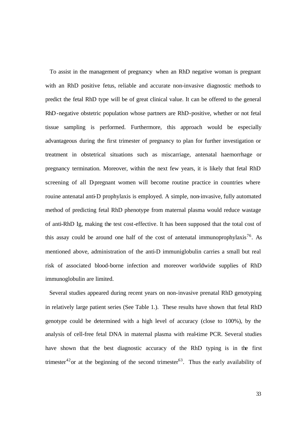To assist in the management of pregnancy when an RhD negative woman is pregnant with an RhD positive fetus, reliable and accurate non-invasive diagnostic methods to predict the fetal RhD type will be of great clinical value. It can be offered to the general RhD-negative obstetric population whose partners are RhD-positive, whether or not fetal tissue sampling is performed. Furthermore, this approach would be especially advantageous during the first trimester of pregnancy to plan for further investigation or treatment in obstetrical situations such as miscarriage, antenatal haemorrhage or pregnancy termination. Moreover, within the next few years, it is likely that fetal RhD screening of all D-pregnant women will become routine practice in countries where rouine antenatal anti-D prophylaxis is employed. A simple, non-invasive, fully automated method of predicting fetal RhD phenotype from maternal plasma would reduce wastage of anti-RhD Ig, making the test cost-effective. It has been supposed that the total cost of this assay could be around one half of the cost of antenatal immunoprophylaxis<sup>76</sup>. As mentioned above, administration of the anti-D immuniglobulin carries a small but real risk of associated blood-borne infection and moreover worldwide supplies of RhD immunoglobulin are limited.

 Several studies appeared during recent years on non-invasive prenatal RhD genotyping in relatively large patient series (See Table 1.). These results have shown that fetal RhD genotype could be determined with a high level of accuracy (close to 100%), by the analysis of cell-free fetal DNA in maternal plasma with real-time PCR. Several studies have shown that the best diagnostic accuracy of the RhD typing is in the first trimester<sup>42</sup> or at the beginning of the second trimester<sup>63</sup>. Thus the early availability of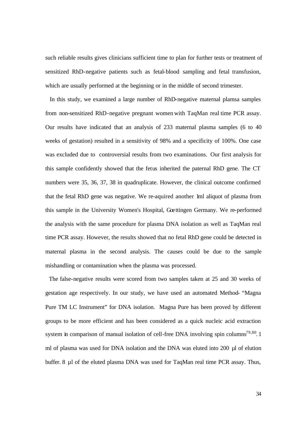such reliable results gives clinicians sufficient time to plan for further tests or treatment of sensitized RhD-negative patients such as fetal-blood sampling and fetal transfusion, which are usually performed at the beginning or in the middle of second trimester.

 In this study, we examined a large number of RhD-negative maternal plamsa samples from non-sensitized RhD-negative pregnant women with TaqMan real time PCR assay. Our results have indicated that an analysis of 233 maternal plasma samples (6 to 40 weeks of gestation) resulted in a sensitivity of 98% and a specificity of 100%. One case was excluded due to controversial results from two examinations. Our first analysis for this sample confidently showed that the fetus inherited the paternal RhD gene. The CT numbers were 35, 36, 37, 38 in quadruplicate. However, the clinical outcome confirmed that the fetal RhD gene was negative. We re-aquired another 1ml aliquot of plasma from this sample in the University Women's Hospital, Goettingen Germany. We re-performed the analysis with the same procedure for plasma DNA isolation as well as TaqMan real time PCR assay. However, the results showed that no fetal RhD gene could be detected in maternal plasma in the second analysis. The causes could be due to the sample mishandling or contamination when the plasma was processed.

 The false-negative results were scored from two samples taken at 25 and 30 weeks of gestation age respectively. In our study, we have used an automated Method- "Magna Pure TM LC Instrument" for DNA isolation. Magna Pure has been proved by different groups to be more efficient and has been considered as a quick nucleic acid extraction system in comparison of manual isolation of cell-free DNA involving spin columns<sup>79,80</sup>.1 ml of plasma was used for DNA isolation and the DNA was eluted into 200 µl of elution buffer. 8 µl of the eluted plasma DNA was used for TaqMan real time PCR assay. Thus,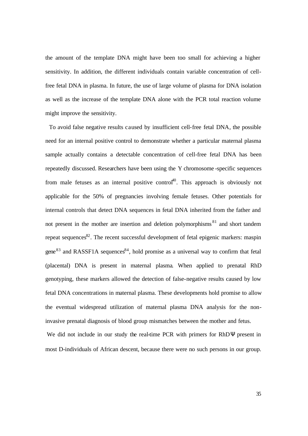the amount of the template DNA might have been too small for achieving a higher sensitivity. In addition, the different individuals contain variable concentration of cellfree fetal DNA in plasma. In future, the use of large volume of plasma for DNA isolation as well as the increase of the template DNA alone with the PCR total reaction volume might improve the sensitivity.

 To avoid false negative results caused by insufficient cell-free fetal DNA, the possible need for an internal positive control to demonstrate whether a particular maternal plasma sample actually contains a detectable concentration of cell-free fetal DNA has been repeatedly discussed. Researchers have been using the Y chromosome -specific sequences from male fetuses as an internal positive control<sup>40</sup>. This approach is obviously not applicable for the 50% of pregnancies involving female fetuses. Other potentials for internal controls that detect DNA sequences in fetal DNA inherited from the father and not present in the mother are insertion and deletion polymorphisms  $81$  and short tandem repeat sequences $82$ . The recent successful development of fetal epigenic markers: maspin gene<sup>83</sup> and RASSF1A sequences<sup>84</sup>, hold promise as a universal way to confirm that fetal (placental) DNA is present in maternal plasma. When applied to prenatal RhD genotyping, these markers allowed the detection of false-negative results caused by low fetal DNA concentrations in maternal plasma. These developments hold promise to allow the eventual widespread utilization of maternal plasma DNA analysis for the noninvasive prenatal diagnosis of blood group mismatches between the mother and fetus.

We did not include in our study the real-time PCR with primers for RhDΨ present in most D-individuals of African descent, because there were no such persons in our group.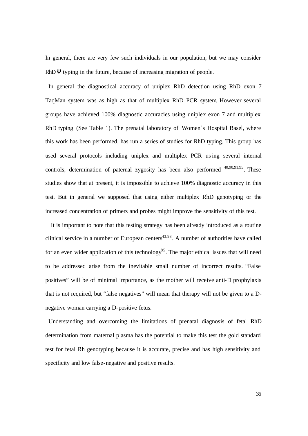In general, there are very few such individuals in our population, but we may consider RhDΨ typing in the future, because of increasing migration of people.

In general the diagnostical accuracy of uniplex RhD detection using RhD exon 7 TaqMan system was as high as that of multiplex RhD PCR system. However several groups have achieved 100% diagnostic accuracies using uniplex exon 7 and multiplex RhD typing (See Table 1). The prenatal laboratory of Women`s Hospital Basel, where this work has been performed, has run a series of studies for RhD typing. This group has used several protocols including uniplex and multiplex PCR using several internal controls; determination of paternal zygosity has been also performed  $40,90,91,95$ . These studies show that at present, it is impossible to achieve 100% diagnostic accuracy in this test. But in general we supposed that using either multiplex RhD genotyping or the increased concentration of primers and probes might improve the sensitivity of this test.

 It is important to note that this testing strategy has been already introduced as a routine clinical service in a number of European centers $43,93$ . A number of authorities have called for an even wider application of this technology<sup>85</sup>. The major ethical issues that will need to be addressed arise from the inevitable small number of incorrect results. "False positives" will be of minimal importance, as the mother will receive anti-D prophylaxis that is not required, but "false negatives" will mean that therapy will not be given to a Dnegative woman carrying a D-positive fetus.

Understanding and overcoming the limitations of prenatal diagnosis of fetal RhD determination from maternal plasma has the potential to make this test the gold standard test for fetal Rh genotyping because it is accurate, precise and has high sensitivity and specificity and low false-negative and positive results.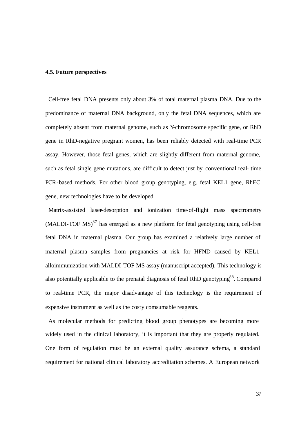# **4.5. Future perspectives**

 Cell-free fetal DNA presents only about 3% of total maternal plasma DNA. Due to the predominance of maternal DNA background, only the fetal DNA sequences, which are completely absent from maternal genome, such as Y-chromosome specific gene, or RhD gene in RhD-negative pregnant women, has been reliably detected with real-time PCR assay. However, those fetal genes, which are slightly different from maternal genome, such as fetal single gene mutations, are difficult to detect just by conventional real- time PCR-based methods. For other blood group genotyping, e.g. fetal KEL1 gene, RhEC gene, new technologies have to be developed.

 Matrix-assisted laser-desorption and ionization time-of-flight mass spectrometry  $(MALDI-TOF MS)^{87}$  has emerged as a new platform for fetal genotyping using cell-free fetal DNA in maternal plasma. Our group has examined a relatively large number of maternal plasma samples from pregnancies at risk for HFND caused by KEL1 alloimmunization with MALDI-TOF MS assay (manuscript accepted). This technology is also potentially applicable to the prenatal diagnosis of fetal RhD genotyping<sup>88</sup>. Compared to real-time PCR, the major disadvantage of this technology is the requirement of expensive instrument as well as the costy comsumable reagents.

 As molecular methods for predicting blood group phenotypes are becoming more widely used in the clinical laboratory, it is important that they are properly regulated. One form of regulation must be an external quality assurance schema, a standard requirement for national clinical laboratory accreditation schemes. A European network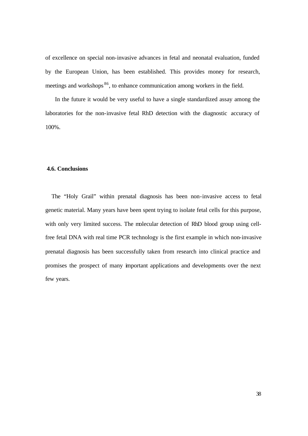of excellence on special non-invasive advances in fetal and neonatal evaluation, funded by the European Union, has been established. This provides money for research, meetings and workshops <sup>86</sup>, to enhance communication among workers in the field.

 In the future it would be very useful to have a single standardized assay among the laboratories for the non-invasive fetal RhD detection with the diagnostic accuracy of 100%.

## **4.6. Conclusions**

 The "Holy Grail" within prenatal diagnosis has been non-invasive access to fetal genetic material. Many years have been spent trying to isolate fetal cells for this purpose, with only very limited success. The molecular detection of RhD blood group using cellfree fetal DNA with real time PCR technology is the first example in which non-invasive prenatal diagnosis has been successfully taken from research into clinical practice and promises the prospect of many important applications and developments over the next few years.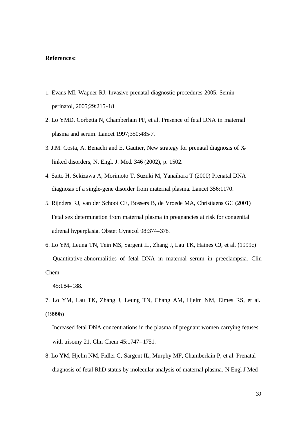### **References:**

- 1. Evans MI, Wapner RJ. Invasive prenatal diagnostic procedures 2005. Semin perinatol, 2005;29:215-18
- 2. Lo YMD, Corbetta N, Chamberlain PF, et al. Presence of fetal DNA in maternal plasma and serum. Lancet 1997;350:485-7.
- 3. J.M. Costa, A. Benachi and E. Gautier, New strategy for prenatal diagnosis of X linked disorders, N. Engl. J. Med. 346 (2002), p. 1502.
- 4. Saito H, Sekizawa A, Morimoto T, Suzuki M, Yanaihara T (2000) Prenatal DNA diagnosis of a single-gene disorder from maternal plasma. Lancet 356:1170.
- 5. Rijnders RJ, van der Schoot CE, Bossers B, de Vroede MA, Christiaens GC (2001) Fetal sex determination from maternal plasma in pregnancies at risk for congenital adrenal hyperplasia. Obstet Gynecol 98:374–378.
- 6. Lo YM, Leung TN, Tein MS, Sargent IL, Zhang J, Lau TK, Haines CJ, et al. (1999c) Quantitative abnormalities of fetal DNA in maternal serum in preeclampsia. Clin Chem

7. Lo YM, Lau TK, Zhang J, Leung TN, Chang AM, Hjelm NM, Elmes RS, et al. (1999b)

 Increased fetal DNA concentrations in the plasma of pregnant women carrying fetuses with trisomy 21. Clin Chem 45:1747–1751.

8. Lo YM, Hjelm NM, Fidler C, Sargent IL, Murphy MF, Chamberlain P, et al. Prenatal diagnosis of fetal RhD status by molecular analysis of maternal plasma. N Engl J Med

 <sup>45:184–188.</sup>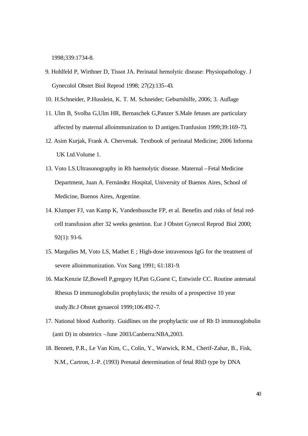1998;339:1734-8.

- 9. Hohlfeld P, Wirthner D, Tissot JA. Perinatal hemolytic disease: Physiopathology. J Gynecolol Obstet Biol Reprod 1998; 27(2):135-43.
- 10. H.Schneider, P.Husslein, K. T. M. Schneider; Geburtshilfe, 2006; 3. Auflage
- 11. Ulm B, Svolba G,Ulm HR, Bernaschek G,Panzer S.Male fetuses are particulary affected by maternal alloimmunization to D antigen.Tranfusion 1999;39:169-73.
- 12. Asim Kurjak, Frank A. Chervenak. Textbook of perinatal Medicine; 2006 Informa UK Ltd.Volume 1.
- 13. Voto LS.Ultrasonography in Rh haemolytic disease. Maternal –Fetal Medicine Department, Juan A. Fernàndez Hospital, University of Buenos Aires, School of Medicine, Buenos Aires, Argentine.
- 14. Klumper FJ, van Kamp K, Vandenbussche FP, et al. Benefits and risks of fetal red cell transfusion after 32 weeks gestetion. Eur J Obstet Gynecol Reprod Biol 2000; 92(1): 91-6.
- 15. Margulies M, Voto LS, Mathet E ; High-dose intravenous IgG for the treatment of severe alloimmunization. Vox Sang 1991; 61:181-9.
- 16. MacKenzie IZ,Bowell P,gregory H,Patt G,Guest C, Entwistle CC. Routine antenatal Rhesus D immunoglobulin prophylaxis; the results of a prospective 10 year study.Br.J Obstet gynaecol 1999;106:492-7.
- 17. National blood Authority. Guidlines on the prophylactic use of Rh D immunoglobulin (anti D) in obstetrics –June 2003.Canberra:NBA,2003.
- 18. Bennett, P.R., Le Van Kim, C., Colin, Y., Warwick, R.M., Cherif-Zahar, B., Fisk, N.M., Cartron, J.-P. (1993) Prenatal determination of fetal RhD type by DNA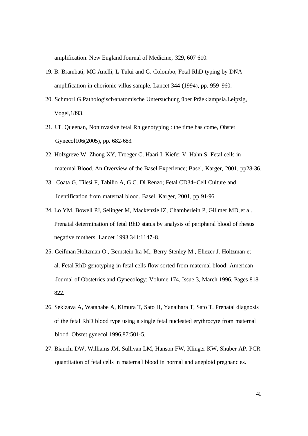amplification. New England Journal of Medicine, 329, 607 610.

- 19. B. Brambati, MC Anelli, L Tului and G. Colombo, Fetal RhD typing by DNA amplification in chorionic villus sample, Lancet 344 (1994), pp. 959–960.
- 20. Schmorl G.Pathologisch-anatomische Untersuchung über Präeklampsia.Leipzig, Vogel,1893.
- 21. J.T. Queenan, Noninvasive fetal Rh genotyping : the time has come, Obstet Gynecol106(2005), pp. 682-683.
- 22. Holzgreve W, Zhong XY, Troeger C, Haari I, Kiefer V, Hahn S; Fetal cells in maternal Blood. An Overview of the Basel Experience; Basel, Karger, 2001, pp28-36.
- 23. Coata G, Tilesi F, Tabilio A, G.C. Di Renzo; Fetal CD34+Cell Culture and Identification from maternal blood. Basel, Karger, 2001, pp 91-96.
- 24. Lo YM, Bowell PJ, Selinger M, Mackenzie IZ, Chamberlein P, Gillmer MD, et al. Prenatal determination of fetal RhD status by analysis of peripheral blood of rhesus negative mothers. Lancet 1993;341:1147-8.
- 25. Geifman-Holtzman O., Bernstein Ira M., Berry Stenley M., Eliezer J. Holtzman et al. Fetal RhD genotyping in fetal cells flow sorted from maternal blood; American Journal of Obstetrics and Gynecology; Volume 174, Issue 3, March 1996, Pages 818- 822.
- 26. Sekizava A, Watanabe A, Kimura T, Sato H, Yanaihara T, Sato T. Prenatal diagnosis of the fetal RhD blood type using a single fetal nucleated erythrocyte from maternal blood. Obstet gynecol 1996,87:501-5.
- 27. Bianchi DW, Williams JM, Sullivan LM, Hanson FW, Klinger KW, Shuber AP. PCR quantitation of fetal cells in materna l blood in normal and aneploid pregnancies.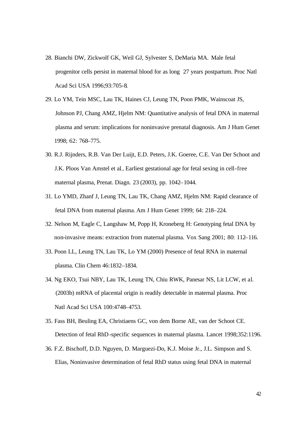- 28. Bianchi DW, Zickwolf GK, Weil GJ, Sylvester S, DeMaria MA. Male fetal progenitor cells persist in maternal blood for as long 27 years postpartum. Proc Natl Acad Sci USA 1996;93:705-8.
- 29. Lo YM, Tein MSC, Lau TK, Haines CJ, Leung TN, Poon PMK, Wainscoat JS, Johnson PJ, Chang AMZ, Hjelm NM: Quantitative analysis of fetal DNA in maternal plasma and serum: implications for noninvasive prenatal diagnosis. Am J Hum Genet 1998; 62: 768–775.
- 30. R.J. Rijnders, R.B. Van Der Luijt, E.D. Peters, J.K. Goeree, C.E. Van Der Schoot and J.K. Ploos Van Amstel et al*.*, Earliest gestational age for fetal sexing in cell-free maternal plasma, Prenat. Diagn*.* 23 (2003), pp. 1042–1044.
- 31. Lo YMD, Zhanf J, Leung TN, Lau TK, Chang AMZ, Hjelm NM: Rapid clearance of fetal DNA from maternal plasma. Am J Hum Genet 1999; 64: 218–224.
- 32. Nelson M, Eagle C, Langshaw M, Popp H, Kroneberg H: Genotyping fetal DNA by non-invasive means: extraction from maternal plasma. Vox Sang 2001; 80: 112–116.
- 33. Poon LL, Leung TN, Lau TK, Lo YM (2000) Presence of fetal RNA in maternal plasma. Clin Chem 46:1832–1834.
- 34. Ng EKO, Tsui NBY, Lau TK, Leung TN, Chiu RWK, Panesar NS, Lit LCW, et al. (2003b) mRNA of placental origin is readily detectable in maternal plasma. Proc Natl Acad Sci USA 100:4748–4753.
- 35. Fass BH, Beuling EA, Christiaens GC, von dem Borne AE, van der Schoot CE. Detection of fetal RhD-specific sequences in maternal plasma. Lancet 1998;352:1196.
- 36. F.Z. Bischoff, D.D. Nguyen, D. Marguezi-Do, K.J. Moise Jr., J.L. Simpson and S. Elias, Noninvasive determination of fetal RhD status using fetal DNA in maternal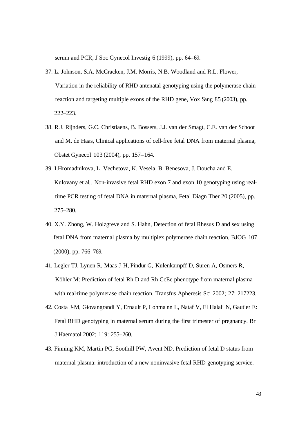serum and PCR, J Soc Gynecol Investig 6 (1999), pp. 64–69.

- 37. L. Johnson, S.A. McCracken, J.M. Morris, N.B. Woodland and R.L. Flower, Variation in the reliability of RHD antenatal genotyping using the polymerase chain reaction and targeting multiple exons of the RHD gene, Vox Sang 85 (2003), pp. 222–223.
- 38. R.J. Rijnders, G.C. Christiaens, B. Bossers, J.J. van der Smagt, C.E. van der Schoot and M. de Haas, Clinical applications of cell-free fetal DNA from maternal plasma, Obstet Gynecol 103 (2004), pp. 157–164.
- 39. I.Hromadnikova, L. Vechetova, K. Vesela, B. Benesova, J. Doucha and E. Kulovany et al*.*, Non-invasive fetal RHD exon 7 and exon 10 genotyping using real time PCR testing of fetal DNA in maternal plasma, Fetal Diagn Ther 20 (2005), pp. 275–280.
- 40. X.Y. Zhong, W. Holzgreve and S. Hahn, Detection of fetal Rhesus D and sex using fetal DNA from maternal plasma by multiplex polymerase chain reaction, BJOG 107 (2000), pp. 766–769.
- 41. Legler TJ, Lynen R, Maas J-H, Pindur G, Kulenkampff D, Suren A, Osmers R, Köhler M: Prediction of fetal Rh D and Rh CcEe phenotype from maternal plasma with real-time polymerase chain reaction. Transfus Apheresis Sci 2002; 27: 217223.
- 42. Costa J-M, Giovangrandi Y, Ernault P, Lohma nn L, Nataf V, El Halali N, Gautier E: Fetal RHD genotyping in maternal serum during the first trimester of pregnancy. Br J Haematol 2002; 119: 255–260.
- 43. Finning KM, Martin PG, Soothill PW, Avent ND. Prediction of fetal D status from maternal plasma: introduction of a new noninvasive fetal RHD genotyping service.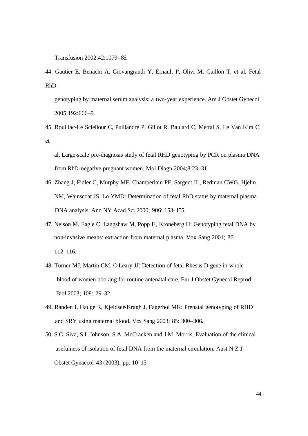Transfusion 2002;42:1079–85.

44. Gautier E, Benachi A, Giovangrandi Y, Ernault P, Olivi M, Gaillon T, et al. Fetal RhD

 genotyping by maternal serum analysis: a two-year experience. Am J Obstet Gynecol 2005;192:666–9.

- 45. Rouillac-Le Sciellour C, Puillandre P, Gillot R, Baulard C, Metral S, Le Van Kim C, et
	- al. Large-scale pre-diagnosis study of fetal RHD genotyping by PCR on plasma DNA from RhD-negative pregnant women. Mol Diagn 2004;8:23–31.
- 46. Zhang J, Fidler C, Murphy MF, Chamberlain PF, Sargent IL, Redman CWG, Hjelm NM, Wainscoat JS, Lo YMD: Determination of fetal RhD status by maternal plasma DNA analysis. Ann NY Acad Sci 2000; 906: 153–155.
- 47. Nelson M, Eagle C, Langshaw M, Popp H, Kroneberg H: Genotyping fetal DNA by non-invasive means: extraction from maternal plasma. Vox Sang 2001; 80: 112–116.
- 48. Turner MJ, Martin CM, O'Leary JJ: Detection of fetal Rhesus D gene in whole blood of women booking for routine antenatal care. Eur J Obstet Gynecol Reprod Biol 2003; 108: 29–32.
- 49. Randen I, Hauge R, Kjeldsen-Kragh J, Fagerhol MK: Prenatal genotyping of RHD and SRY using maternal blood. Vox Sang 2003; 85: 300–306.
- 50. S.C. Siva, S.I. Johnson, S.A. McCracken and J.M. Morris, Evaluation of the clinical usefulness of isolation of fetal DNA from the maternal circulation, Aust N Z J Obstet Gynaecol 43 (2003), pp. 10–15.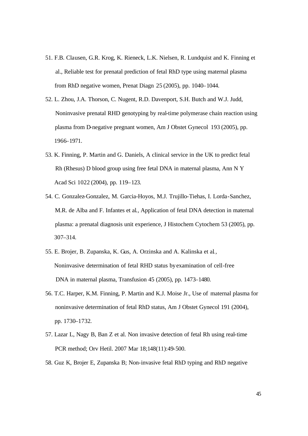- 51. F.B. Clausen, G.R. Krog, K. Rieneck, L.K. Nielsen, R. Lundquist and K. Finning et al., Reliable test for prenatal prediction of fetal RhD type using maternal plasma from RhD negative women, Prenat Diagn 25 (2005), pp. 1040–1044.
- 52. L. Zhou, J.A. Thorson, C. Nugent, R.D. Davenport, S.H. Butch and W.J. Judd, Noninvasive prenatal RHD genotyping by real-time polymerase chain reaction using plasma from D-negative pregnant women, Am J Obstet Gynecol 193 (2005), pp. 1966–1971.
- 53. K. Finning, P. Martin and G. Daniels, A clinical service in the UK to predict fetal Rh (Rhesus) D blood group using free fetal DNA in maternal plasma, Ann N Y Acad Sci 1022 (2004), pp. 119–123.
- 54. C. Gonzalez-Gonzalez, M. Garcia-Hoyos, M.J. Trujillo-Tiehas, I. Lorda-Sanchez, M.R. de Alba and F. Infantes et al*.*, Application of fetal DNA detection in maternal plasma: a prenatal diagnosis unit experience, J Histochem Cytochem 53 (2005), pp. 307–314.
- 55. E. Brojer, B. Zupanska, K. Gus, A. Orzinska and A. Kalinska et al*.*, Noninvasive determination of fetal RHD status byexamination of cell-free DNA in maternal plasma, Transfusion 45 (2005), pp. 1473–1480.
- 56. T.C. Harper, K.M. Finning, P. Martin and K.J. Moise Jr., Use of maternal plasma for noninvasive determination of fetal RhD status, Am J Obstet Gynecol 191 (2004), pp. 1730–1732.
- 57. Lazar L, Nagy B, Ban Z et al. Non invasive detection of fetal Rh using real-time PCR method; Orv Hetil. 2007 Mar 18;148(11):49-500.
- 58. Guz K, Brojer E, Zupanska B; Non-invasive fetal RhD typing and RhD negative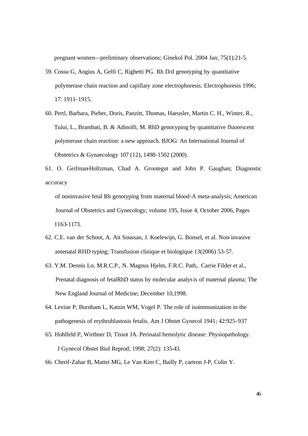pregnant women—preliminary observations; Ginekol Pol. 2004 Jan; 75(1):21-5.

- 59. Cossu G, Angius A, Gelfi C, Righetti PG. Rh D/d genotyping by quantitative polymerase chain reaction and capillary zone electrophoresis. Electrophoresis 1996; 17: 1911–1915.
- 60. Pertl, Barbara, Pieber, Doris, Panzitt, Thomas, Haeusler, Martin C. H., Winter, R., Tului, L., Brambati, B. & Adinolfi, M. RhD genotyping by quantitative fluorescent polymerase chain reaction: a new approach. BJOG*:* An International Journal of Obstetrics & Gynaecology 107 (12), 1498-1502 (2000).
- 61. O. Geifman-Holtzman, Chad A. Grootegut and John P. Gaughan; Diagnostic accuracy

 of noninvasive fetal Rh genotyping from maternal blood-A meta-analysis; American Journal of Obstetrics and Gynecology; volume 195, Issue 4, October 2006, Pages 1163-1173.

- 62. C.E. van der Schoot, A. Ait Soussan, J. Koelewijn, G. Bonsel, et al. Non-invasive antenatal RHD typing; Transfusion clinique et biologique 13(2006) 53-57.
- 63. Y.M. Dennis Lo, M.R.C.P., N. Magnus Hjelm, F.R.C. Path,. Carrie Filder et al., Prenatal diagnosis of fetalRhD status by molecular analysis of maternal plasma; The New England Journal of Medicine; December 10,1998.
- 64. Levine P, Burnham L, Katzin WM, Vogel P. The role of isoimmunization in the pathogenesis of erythroblastosis fetalis. Am J Obstet Gynecol 1941; 42:925-937
- 65. Hohlfeld P, Wirthner D, Tissot JA. Perinatal hemolytic disease: Physiopathology. J Gynecol Obstet Biol Reprod; 1998; 27(2): 135-43.
- 66. Cherif-Zahar B, Mattei MG, Le Van Kim C, Bailly P, cartron J-P, Colin Y.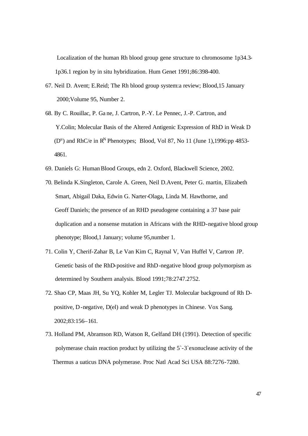Localization of the human Rh blood group gene structure to chromosome 1p34.3- 1p36.1 region by in situ hybridization. Hum Genet 1991;86:398-400.

- 67. Neil D. Avent; E.Reid; The Rh blood group system:a review; Blood,15 January 2000;Volume 95, Number 2.
- 68. By C. Rouillac, P. Ga ne, J. Cartron, P.-Y. Le Pennec, J.-P. Cartron, and Y.Colin; Molecular Basis of the Altered Antigenic Expression of RhD in Weak D  $(D^u)$  and RhC/e in R<sup>N</sup> Phenotypes; Blood, Vol 87, No 11 (June 1),1996:pp 4853-4861.
- 69. Daniels G: Human Blood Groups, edn 2. Oxford, Blackwell Science, 2002.
- 70. Belinda K.Singleton, Carole A. Green, Neil D.Avent, Peter G. martin, Elizabeth Smart, Abigail Daka, Edwin G. Narter-Olaga, Linda M. Hawthorne, and Geoff Daniels; the presence of an RHD pseudogene containing a 37 base pair duplication and a nonsense mutation in Africans with the RHD-negative blood group phenotype; Blood,1 January; volume 95,number 1.
- 71. Colin Y, Cherif-Zahar B, Le Van Kim C, Raynal V, Van Huffel V, Cartron JP. Genetic basis of the RhD-positive and RhD-negative blood group polymorpism as determined by Southern analysis. Blood 1991;78:2747.2752.
- 72. Shao CP, Maas JH, Su YQ, Kohler M, Legler TJ. Molecular background of Rh D positive, D-negative, D(el) and weak D phenotypes in Chinese. Vox Sang*.* 2002;83:156–161.
- 73. Holland PM, Abramson RD, Watson R, Gelfand DH (1991). Detection of specific polymerase chain reaction product by utilizing the 5`-3`exonuclease activity of the Thermus a uaticus DNA polymerase. Proc Natl Acad Sci USA 88:7276-7280.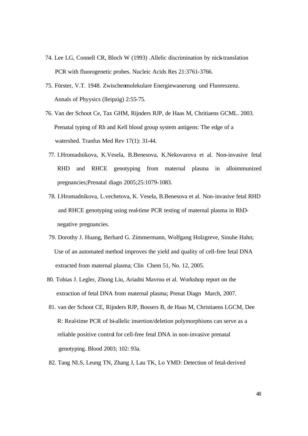- 74. Lee LG, Connell CR, Bloch W (1993) .Allelic discrimination by nick-translation PCR with fluorogenetic probes. Nucleic Acids Res 21:3761-3766.
- 75. Förster, V.T. 1948. Zwischenmolekulare Energiewanerung und Fluoreszenz. Annals of Phyysics (lleipzig) 2:55-75.
- 76. Van der Schoot Ce, Tax GHM, Rijnders RJP, de Haas M, Chritiaens GCML. 2003. Prenatal typing of Rh and Kell blood group system antigens: The edge of a watershed. Tranfus Med Rev 17(1): 31-44.
	- 77. I.Hromadnikova, K.Vesela, B.Benesova, K.Nekovarova et al. Non-invasive fetal RHD and RHCE genotyping from maternal plasma in alloimmunized pregnancies;Prenatal diagn 2005;25:1079-1083.
	- 78. I.Hromadnikova, L.vechetova, K. Vesela, B.Benesova et al. Non-invasive fetal RHD and RHCE genotyping using real-time PCR testing of maternal plasma in RhD negative pregnancies.
	- 79. Dorothy J. Huang, Berhard G. Zimmermann, Wolfgang Holzgreve, Sinuhe Hahn; Use of an automated method improves the yield and quality of cell-free fetal DNA extracted from maternal plasma; Clin Chem 51, No. 12, 2005.
- 80. Tobias J. Legler, Zhong Liu, Ariadni Mavrou et al. Workshop report on the extraction of fetal DNA from maternal plasma; Prenat Diagn March, 2007.
- 81. van der Schoot CE, Rijnders RJP, Bossers B, de Haas M, Christiaens LGCM, Dee R: Real-time PCR of bi-allelic insertion/deletion polymorphisms can serve as a reliable positive control for cell-free fetal DNA in non-invasive prenatal genotyping. Blood 2003; 102: 93a.
- 82. Tang NLS, Leung TN, Zhang J, Lau TK, Lo YMD: Detection of fetal-derived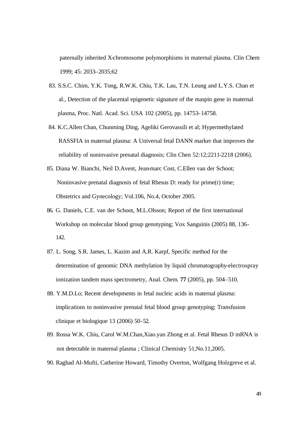paternally inherited X-chromosome polymorphisms in maternal plasma. Clin Chem 1999; 45: 2033–2035;62

- 83. S.S.C. Chim, Y.K. Tong, R.W.K. Chiu, T.K. Lau, T.N. Leung and L.Y.S. Chan et al., Detection of the placental epigenetic signature of the maspin gene in maternal plasma, Proc. Natl. Acad. Sci. USA 102 (2005), pp. 14753–14758.
- 84. K.C.Allen Chan, Chunming Ding, Ageliki Gerovassili et al; Hypermethylated RASSFIA in maternal plasma: A Universal fetal DANN marker that improves the reliability of noninvasive prenatal diagnosis; Clin Chen 52:12;2211-2218 (2006).
- 85. Diana W. Bianchi, Neil D.Avent, Jean-marc Cost, C.Ellen van der Schoot; Noninvasive prenatal diagnosis of fetal Rhesus D: ready for prime(r) time; Obstetrics and Gynecology; Vol.106, No.4, October 2005.
- 86. G. Daniels, C.E. van der Schoot, M.L.Olsson; Report of the first international Workshop on molecular blood group genotyping; Vox Sanguinis (2005) 88, 136- 142.
- 87. L. Song, S.R. James, L. Kazim and A.R. Karpf, Specific method for the determination of genomic DNA methylation by liquid chromatography-electrospray ionization tandem mass spectrometry, Anal. Chem*.* **77** (2005), pp. 504–510.
- 88. Y.M.D.Lo; Recent developments in fetal nucleic acids in maternal plasma: implications to noninvasive prenatal fetal blood group genotyping; Transfusion clinique et biologique 13 (2006) 50-52.
- 89. Rossa W.K. Chiu, Carol W.M.Chan,Xiao.yan Zhong et al. Fetal Rhesus D mRNA is not detectable in maternal plasma ; Clinical Chemistry 51,No.11,2005.
- 90. Raghad Al-Mufti, Catherine Howard, Timothy Overton, Wolfgang Holzgreve et al.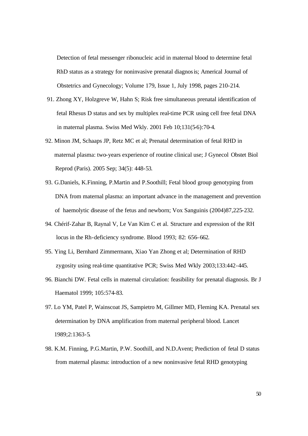Detection of fetal messenger ribonucleic acid in maternal blood to determine fetal RhD status as a strategy for noninvasive prenatal diagnosis; Americal Journal of Obstetrics and Gynecology; Volume 179, Issue 1, July 1998, pages 210-214.

- 91. Zhong XY, Holzgreve W, Hahn S; Risk free simultaneous prenatal identification of fetal Rhesus D status and sex by multiplex real-time PCR using cell free fetal DNA in maternal plasma. Swiss Med Wkly. 2001 Feb 10;131(5-6):70-4.
- 92. Minon JM, Schaaps JP, Retz MC et al; Prenatal determination of fetal RHD in maternal plasma: two-years experience of routine clinical use; J Gynecol Obstet Biol Reprod (Paris). 2005 Sep; 34(5): 448-53.
- 93. G.Daniels, K.Finning, P.Martin and P.Soothill; Fetal blood group genotyping from DNA from maternal plasma: an important advance in the management and prevention of haemolytic disease of the fetus and newborn; Vox Sanguinis (2004)87,225-232.
- 94. Chérif-Zahar B, Raynal V, Le Van Kim C et al. Structure and expression of the RH locus in the Rh-deficiency syndrome. Blood 1993; 82: 656–662.
- 95. Ying Li, Bernhard Zimmermann, Xiao Yan Zhong et al; Determination of RHD zygosity using real-time quantitative PCR; Swiss Med Wkly 2003;133:442-445.
- 96. Bianchi DW. Fetal cells in maternal circulation: feasibility for prenatal diagnosis. Br J Haematol 1999; 105:574-83.
- 97. Lo YM, Patel P, Wainscoat JS, Sampietro M, Gillmer MD, Fleming KA. Prenatal sex determination by DNA amplification from maternal peripheral blood. Lancet 1989;2:1363-5.
- 98. K.M. Finning, P.G.Martin, P.W. Soothill, and N.D.Avent; Prediction of fetal D status from maternal plasma: introduction of a new noninvasive fetal RHD genotyping